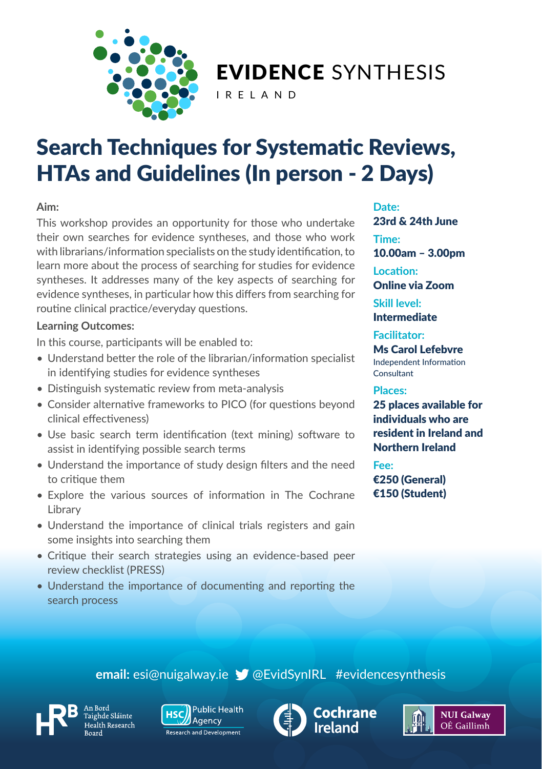

## EVIDENCE SYNTHESIS

IRELAND

# Search Techniques for Systematic Reviews, HTAs and Guidelines (In person - 2 Days)

#### **Aim:**

This workshop provides an opportunity for those who undertake their own searches for evidence syntheses, and those who work with librarians/information specialists on the study identification, to learn more about the process of searching for studies for evidence syntheses. It addresses many of the key aspects of searching for evidence syntheses, in particular how this differs from searching for routine clinical practice/everyday questions.

#### **Learning Outcomes:**

In this course, participants will be enabled to:

- Understand better the role of the librarian/information specialist in identifying studies for evidence syntheses
- Distinguish systematic review from meta-analysis
- Consider alternative frameworks to PICO (for questions beyond clinical effectiveness)
- Use basic search term identification (text mining) software to assist in identifying possible search terms
- Understand the importance of study design filters and the need to critique them
- Explore the various sources of information in The Cochrane Library
- Understand the importance of clinical trials registers and gain some insights into searching them
- Critique their search strategies using an evidence-based peer review checklist (PRESS)
- Understand the importance of documenting and reporting the search process

**Date:** 

23rd & 24th June **Time:**  10.00am – 3.00pm **Location:** Online via Zoom **Skill level:** 

Intermediate

**Facilitator:** 

Ms Carol Lefebvre Independent Information Consultant

#### **Places:**

25 places available for individuals who are resident in Ireland and Northern Ireland

**Fee:**  €250 (General) €150 (Student)

### **email:** esi@nuigalway.ie @EvidSynIRL #evidencesynthesis



aighde Sláinte





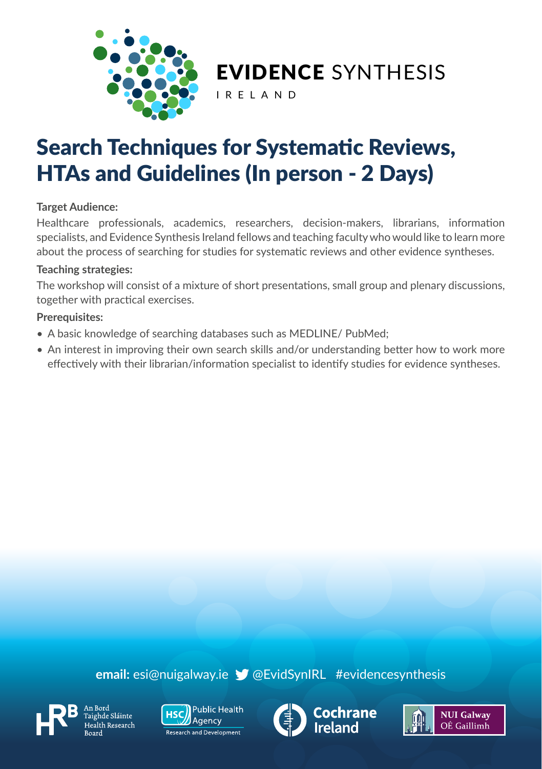

EVIDENCE SYNTHESIS

IRELAND

# Search Techniques for Systematic Reviews, HTAs and Guidelines (In person - 2 Days)

#### **Target Audience:**

Healthcare professionals, academics, researchers, decision-makers, librarians, information specialists, and Evidence Synthesis Ireland fellows and teaching faculty who would like to learn more about the process of searching for studies for systematic reviews and other evidence syntheses.

#### **Teaching strategies:**

The workshop will consist of a mixture of short presentations, small group and plenary discussions, together with practical exercises.

#### **Prerequisites:**

- A basic knowledge of searching databases such as MEDLINE/ PubMed;
- An interest in improving their own search skills and/or understanding better how to work more effectively with their librarian/information specialist to identify studies for evidence syntheses.

**email:** esi@nuigalway.ie @EvidSynIRL #evidencesynthesis



le Sláinte